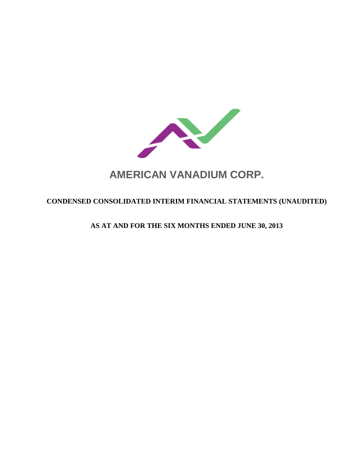

# **AMERICAN VANADIUM CORP.**

# **CONDENSED CONSOLIDATED INTERIM FINANCIAL STATEMENTS (UNAUDITED)**

**AS AT AND FOR THE SIX MONTHS ENDED JUNE 30, 2013**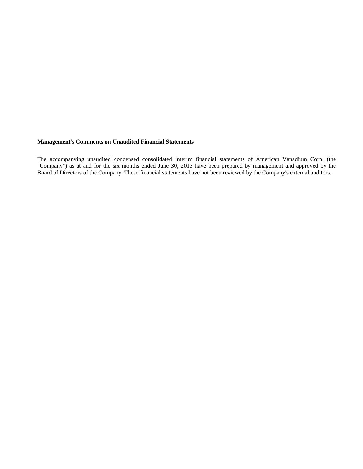# **Management's Comments on Unaudited Financial Statements**

The accompanying unaudited condensed consolidated interim financial statements of American Vanadium Corp. (the "Company") as at and for the six months ended June 30, 2013 have been prepared by management and approved by the Board of Directors of the Company. These financial statements have not been reviewed by the Company's external auditors.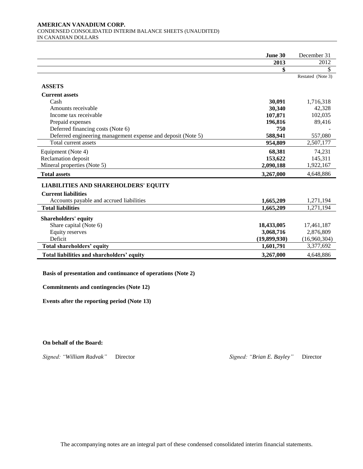#### **AMERICAN VANADIUM CORP.**  CONDENSED CONSOLIDATED INTERIM BALANCE SHEETS (UNAUDITED) IN CANADIAN DOLLARS

|                                                              | June 30      | December 31       |
|--------------------------------------------------------------|--------------|-------------------|
|                                                              | 2013         | 2012              |
|                                                              | \$           | \$                |
|                                                              |              | Restated (Note 3) |
| <b>ASSETS</b>                                                |              |                   |
| <b>Current assets</b>                                        |              |                   |
| Cash                                                         | 30,091       | 1,716,318         |
| Amounts receivable                                           | 30,340       | 42,328            |
| Income tax receivable                                        | 107,871      | 102,035           |
| Prepaid expenses                                             | 196,816      | 89,416            |
| Deferred financing costs (Note 6)                            | 750          |                   |
| Deferred engineering management expense and deposit (Note 5) | 588,941      | 557,080           |
| Total current assets                                         | 954,809      | 2,507,177         |
| Equipment (Note 4)                                           | 68,381       | 74,231            |
| Reclamation deposit                                          | 153,622      | 145,311           |
| Mineral properties (Note 5)                                  | 2,090,188    | 1,922,167         |
| <b>Total assets</b>                                          | 3,267,000    | 4,648,886         |
| <b>LIABILITIES AND SHAREHOLDERS' EQUITY</b>                  |              |                   |
| <b>Current liabilities</b>                                   |              |                   |
| Accounts payable and accrued liabilities                     | 1,665,209    | 1,271,194         |
| <b>Total liabilities</b>                                     | 1,665,209    | 1,271,194         |
| <b>Shareholders' equity</b>                                  |              |                   |
| Share capital (Note 6)                                       | 18,433,005   | 17,461,187        |
| Equity reserves                                              | 3,068,716    | 2,876,809         |
| Deficit                                                      | (19,899,930) | (16,960,304)      |
| Total shareholders' equity                                   | 1,601,791    | 3,377,692         |
| Total liabilities and shareholders' equity                   | 3,267,000    | 4,648,886         |

**Basis of presentation and continuance of operations (Note 2)**

**Commitments and contingencies (Note 12)**

**Events after the reporting period (Note 13)**

# **On behalf of the Board:**

*Signed: "William Radvak"* Director *Signed: "Brian E. Bayley"* Director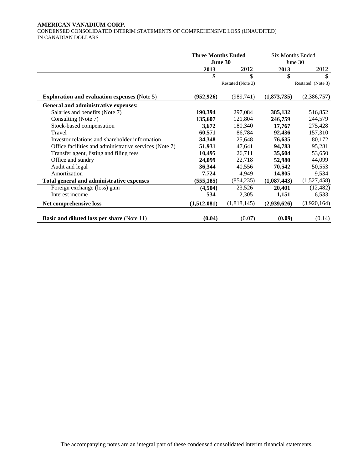#### **AMERICAN VANADIUM CORP.**  CONDENSED CONSOLIDATED INTERIM STATEMENTS OF COMPREHENSIVE LOSS (UNAUDITED) IN CANADIAN DOLLARS

|                                                        | <b>Three Months Ended</b><br>June 30 |                   | <b>Six Months Ended</b> | June 30           |
|--------------------------------------------------------|--------------------------------------|-------------------|-------------------------|-------------------|
|                                                        | 2013                                 | 2012              | 2013                    | 2012              |
|                                                        | \$                                   | \$                | \$                      | \$                |
|                                                        |                                      | Restated (Note 3) |                         | Restated (Note 3) |
| <b>Exploration and evaluation expenses (Note 5)</b>    | (952, 926)                           | (989, 741)        | (1,873,735)             | (2,386,757)       |
| General and administrative expenses:                   |                                      |                   |                         |                   |
| Salaries and benefits (Note 7)                         | 190,394                              | 297,084           | 385,132                 | 516,852           |
| Consulting (Note 7)                                    | 135,607                              | 121,804           | 246,759                 | 244,579           |
| Stock-based compensation                               | 3,672                                | 180,340           | 17,767                  | 275,428           |
| Travel                                                 | 60,571                               | 86,784            | 92,436                  | 157,310           |
| Investor relations and shareholder information         | 34,348                               | 25,648            | 76,635                  | 80,172            |
| Office facilities and administrative services (Note 7) | 51,931                               | 47,641            | 94,783                  | 95,281            |
| Transfer agent, listing and filing fees                | 10,495                               | 26,711            | 35,604                  | 53,650            |
| Office and sundry                                      | 24,099                               | 22,718            | 52,980                  | 44,099            |
| Audit and legal                                        | 36,344                               | 40,556            | 70,542                  | 50,553            |
| Amortization                                           | 7,724                                | 4,949             | 14,805                  | 9,534             |
| Total general and administrative expenses              | (555, 185)                           | (854, 235)        | (1,087,443)             | (1,527,458)       |
| Foreign exchange (loss) gain                           | (4,504)                              | 23,526            | 20,401                  | (12, 482)         |
| Interest income                                        | 534                                  | 2,305             | 1,151                   | 6,533             |
| Net comprehensive loss                                 | (1,512,081)                          | (1,818,145)       | (2,939,626)             | (3,920,164)       |
| <b>Basic and diluted loss per share (Note 11)</b>      | (0.04)                               | (0.07)            | (0.09)                  | (0.14)            |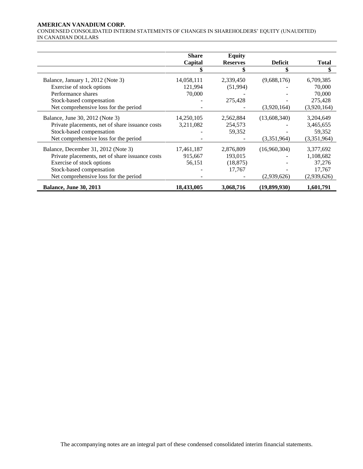#### **AMERICAN VANADIUM CORP.**

CONDENSED CONSOLIDATED INTERIM STATEMENTS OF CHANGES IN SHAREHOLDERS' EQUITY (UNAUDITED) IN CANADIAN DOLLARS

|                                                 | Share      | <b>Equity</b>   |                |              |
|-------------------------------------------------|------------|-----------------|----------------|--------------|
|                                                 | Capital    | <b>Reserves</b> | <b>Deficit</b> | <b>Total</b> |
|                                                 | \$         | \$              | \$             | \$           |
| Balance, January 1, 2012 (Note 3)               | 14,058,111 | 2,339,450       | (9,688,176)    | 6,709,385    |
| Exercise of stock options                       | 121,994    | (51,994)        |                | 70,000       |
| Performance shares                              | 70,000     |                 |                | 70,000       |
| Stock-based compensation                        |            | 275,428         |                | 275,428      |
| Net comprehensive loss for the period           |            |                 | (3,920,164)    | (3,920,164)  |
| Balance, June 30, 2012 (Note 3)                 | 14,250,105 | 2,562,884       | (13,608,340)   | 3,204,649    |
| Private placements, net of share issuance costs | 3,211,082  | 254,573         |                | 3,465,655    |
| Stock-based compensation                        |            | 59,352          |                | 59,352       |
| Net comprehensive loss for the period           |            |                 | (3,351,964)    | (3,351,964)  |
| Balance, December 31, 2012 (Note 3)             | 17,461,187 | 2,876,809       | (16,960,304)   | 3,377,692    |
| Private placements, net of share issuance costs | 915,667    | 193,015         |                | 1,108,682    |
| Exercise of stock options                       | 56,151     | (18, 875)       |                | 37,276       |
| Stock-based compensation                        |            | 17,767          |                | 17,767       |
| Net comprehensive loss for the period           |            |                 | (2,939,626)    | (2,939,626)  |
| <b>Balance, June 30, 2013</b>                   | 18,433,005 | 3,068,716       | (19,899,930)   | 1,601,791    |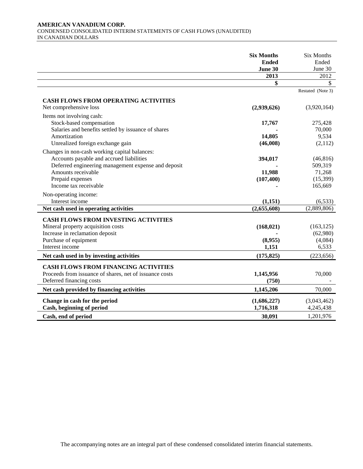#### **AMERICAN VANADIUM CORP.**  CONDENSED CONSOLIDATED INTERIM STATEMENTS OF CASH FLOWS (UNAUDITED) IN CANADIAN DOLLARS

|                                                                                                                                                                                                                     | <b>Six Months</b><br><b>Ended</b><br>June 30 | <b>Six Months</b><br>Ended<br>June 30                  |
|---------------------------------------------------------------------------------------------------------------------------------------------------------------------------------------------------------------------|----------------------------------------------|--------------------------------------------------------|
|                                                                                                                                                                                                                     | 2013                                         | 2012                                                   |
|                                                                                                                                                                                                                     | \$                                           | S.<br>Restated (Note 3)                                |
| <b>CASH FLOWS FROM OPERATING ACTIVITIES</b><br>Net comprehensive loss                                                                                                                                               | (2,939,626)                                  | (3,920,164)                                            |
| Items not involving cash:<br>Stock-based compensation<br>Salaries and benefits settled by issuance of shares<br>Amortization<br>Unrealized foreign exchange gain                                                    | 17,767<br>14,805<br>(46,008)                 | 275,428<br>70,000<br>9,534<br>(2,112)                  |
| Changes in non-cash working capital balances:<br>Accounts payable and accrued liabilities<br>Deferred engineering management expense and deposit<br>Amounts receivable<br>Prepaid expenses<br>Income tax receivable | 394,017<br>11,988<br>(107, 400)              | (46, 816)<br>509,319<br>71,268<br>(15, 399)<br>165,669 |
| Non-operating income:<br>Interest income                                                                                                                                                                            | (1,151)                                      | (6, 533)                                               |
| Net cash used in operating activities                                                                                                                                                                               | (2,655,608)                                  | (2,889,806)                                            |
| <b>CASH FLOWS FROM INVESTING ACTIVITIES</b><br>Mineral property acquisition costs<br>Increase in reclamation deposit<br>Purchase of equipment<br>Interest income                                                    | (168, 021)<br>(8,955)<br>1,151               | (163, 125)<br>(62,980)<br>(4,084)<br>6,533             |
| Net cash used in by investing activities                                                                                                                                                                            | (175, 825)                                   | (223, 656)                                             |
| <b>CASH FLOWS FROM FINANCING ACTIVITIES</b><br>Proceeds from issuance of shares, net of issuance costs<br>Deferred financing costs                                                                                  | 1,145,956<br>(750)                           | 70,000                                                 |
| Net cash provided by financing activities                                                                                                                                                                           | 1,145,206                                    | 70,000                                                 |
| Change in cash for the period<br>Cash, beginning of period                                                                                                                                                          | (1,686,227)<br>1,716,318                     | (3,043,462)<br>4,245,438                               |
| Cash, end of period                                                                                                                                                                                                 | 30,091                                       | 1,201,976                                              |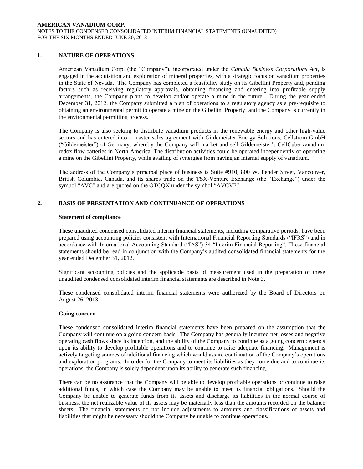# **1. NATURE OF OPERATIONS**

American Vanadium Corp. (the "Company"), incorporated under the *Canada Business Corporations Act*, is engaged in the acquisition and exploration of mineral properties, with a strategic focus on vanadium properties in the State of Nevada. The Company has completed a feasibility study on its Gibellini Property and, pending factors such as receiving regulatory approvals, obtaining financing and entering into profitable supply arrangements, the Company plans to develop and/or operate a mine in the future. During the year ended December 31, 2012, the Company submitted a plan of operations to a regulatory agency as a pre-requisite to obtaining an environmental permit to operate a mine on the Gibellini Property, and the Company is currently in the environmental permitting process.

The Company is also seeking to distribute vanadium products in the renewable energy and other high-value sectors and has entered into a master sales agreement with Gildemeister Energy Solutions, Cellstrom GmbH ("Gildemeister") of Germany, whereby the Company will market and sell Gildemeister's CellCube vanadium redox flow batteries in North America. The distribution activities could be operated independently of operating a mine on the Gibellini Property, while availing of synergies from having an internal supply of vanadium.

The address of the Company's principal place of business is Suite #910, 800 W. Pender Street, Vancouver, British Columbia, Canada, and its shares trade on the TSX-Venture Exchange (the "Exchange") under the symbol "AVC" and are quoted on the OTCQX under the symbol "AVCVF".

# **2. BASIS OF PRESENTATION AND CONTINUANCE OF OPERATIONS**

#### **Statement of compliance**

These unaudited condensed consolidated interim financial statements, including comparative periods, have been prepared using accounting policies consistent with International Financial Reporting Standards ("IFRS") and in accordance with International Accounting Standard ("IAS") 34 "Interim Financial Reporting". These financial statements should be read in conjunction with the Company's audited consolidated financial statements for the year ended December 31, 2012.

Significant accounting policies and the applicable basis of measurement used in the preparation of these unaudited condensed consolidated interim financial statements are described in Note 3.

These condensed consolidated interim financial statements were authorized by the Board of Directors on August 26, 2013.

#### **Going concern**

These condensed consolidated interim financial statements have been prepared on the assumption that the Company will continue on a going concern basis. The Company has generally incurred net losses and negative operating cash flows since its inception, and the ability of the Company to continue as a going concern depends upon its ability to develop profitable operations and to continue to raise adequate financing. Management is actively targeting sources of additional financing which would assure continuation of the Company's operations and exploration programs. In order for the Company to meet its liabilities as they come due and to continue its operations, the Company is solely dependent upon its ability to generate such financing.

There can be no assurance that the Company will be able to develop profitable operations or continue to raise additional funds, in which case the Company may be unable to meet its financial obligations. Should the Company be unable to generate funds from its assets and discharge its liabilities in the normal course of business, the net realizable value of its assets may be materially less than the amounts recorded on the balance sheets. The financial statements do not include adjustments to amounts and classifications of assets and liabilities that might be necessary should the Company be unable to continue operations.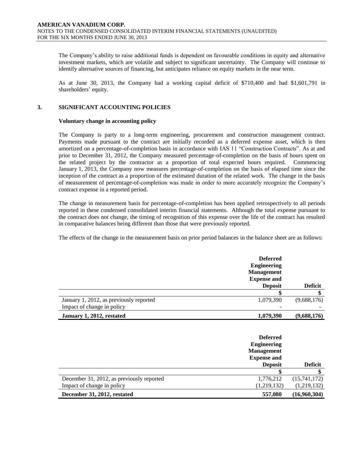The Company's ability to raise additional funds is dependent on favourable conditions in equity and alternative investment markets, which are volatile and subject to significant uncertainty. The Company will continue to identify alternative sources of financing, but anticipates reliance on equity markets in the near term.

As at June 30, 2013, the Company had a working capital deficit of \$710,400 and had \$1,601,791 in shareholders' equity.

# **3. SIGNIFICANT ACCOUNTING POLICIES**

#### **Voluntary change in accounting policy**

The Company is party to a long-term engineering, procurement and construction management contract. Payments made pursuant to the contract are initially recorded as a deferred expense asset, which is then amortized on a percentage-of-completion basis in accordance with IAS 11 "Construction Contracts". As at and prior to December 31, 2012, the Company measured percentage-of-completion on the basis of hours spent on the related project by the contractor as a proportion of total expected hours required. Commencing January 1, 2013, the Company now measures percentage-of-completion on the basis of elapsed time since the inception of the contract as a proportion of the estimated duration of the related work. The change in the basis of measurement of percentage-of-completion was made in order to more accurately recognize the Company's contract expense in a reported period.

The change in measurement basis for percentage-of-completion has been applied retrospectively to all periods reported in these condensed consolidated interim financial statements. Although the total expense pursuant to the contract does not change, the timing of recognition of this expense over the life of the contract has resulted in comparative balances being different than those that were previously reported.

The effects of the change in the measurement basis on prior period balances in the balance sheet are as follows:

|                                         | <b>Deferred</b><br><b>Engineering</b><br><b>Management</b><br><b>Expense and</b><br><b>Deposit</b> | <b>Deficit</b> |
|-----------------------------------------|----------------------------------------------------------------------------------------------------|----------------|
|                                         |                                                                                                    |                |
| January 1, 2012, as previously reported | 1,079,390                                                                                          | (9,688,176)    |
| Impact of change in policy              |                                                                                                    |                |
| January 1, 2012, restated               | 1,079,390                                                                                          | (9,688,176)    |

|                                           | <b>Deferred</b><br><b>Engineering</b><br><b>Management</b><br><b>Expense and</b><br><b>Deposit</b> | <b>Deficit</b> |
|-------------------------------------------|----------------------------------------------------------------------------------------------------|----------------|
|                                           |                                                                                                    |                |
| December 31, 2012, as previously reported | 1,776,212                                                                                          | (15,741,172)   |
| Impact of change in policy                | (1,219,132)                                                                                        | (1,219,132)    |
| December 31, 2012, restated               | 557,080                                                                                            | (16,960,304)   |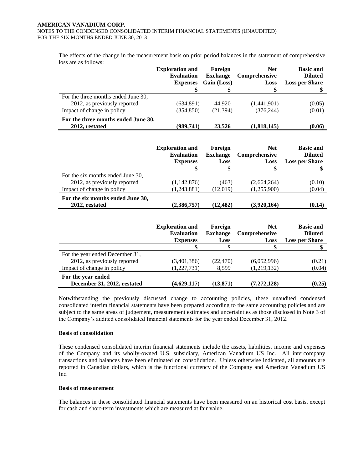The effects of the change in the measurement basis on prior period balances in the statement of comprehensive loss are as follows:

|                                                       | <b>Exploration and</b><br><b>Evaluation</b><br><b>Expenses</b> | Foreign<br><b>Exchange</b><br>Gain (Loss) | <b>Net</b><br><b>Comprehensive</b><br>Loss | <b>Basic and</b><br><b>Diluted</b><br><b>Loss per Share</b> |
|-------------------------------------------------------|----------------------------------------------------------------|-------------------------------------------|--------------------------------------------|-------------------------------------------------------------|
|                                                       | S                                                              |                                           | \$                                         |                                                             |
| For the three months ended June 30,                   |                                                                |                                           |                                            |                                                             |
| 2012, as previously reported                          | (634,891)                                                      | 44,920                                    | (1,441,901)                                | (0.05)                                                      |
| Impact of change in policy                            | (354, 850)                                                     | (21, 394)                                 | (376, 244)                                 | (0.01)                                                      |
| For the three months ended June 30,<br>2012, restated | (989,741)                                                      | 23.526                                    | (1,818,145)                                | (0.06)                                                      |
|                                                       |                                                                |                                           |                                            |                                                             |

|                                                     | <b>Exploration and</b><br><b>Evaluation</b> | Foreign<br><b>Exchange</b> | <b>Net</b><br>Comprehensive | <b>Basic and</b><br><b>Diluted</b> |
|-----------------------------------------------------|---------------------------------------------|----------------------------|-----------------------------|------------------------------------|
|                                                     | <b>Expenses</b>                             | Loss                       | Loss                        | <b>Loss per Share</b>              |
|                                                     |                                             |                            |                             |                                    |
| For the six months ended June 30,                   |                                             |                            |                             |                                    |
| 2012, as previously reported                        | (1,142,876)                                 | (463)                      | (2,664,264)                 | (0.10)                             |
| Impact of change in policy                          | (1,243,881)                                 | (12,019)                   | (1,255,900)                 | (0.04)                             |
| For the six months ended June 30,<br>2012, restated | (2,386,757)                                 | (12, 482)                  | (3,920,164)                 | (0.14)                             |

|                                                   | <b>Exploration and</b><br><b>Evaluation</b><br><b>Expenses</b> | Foreign<br><b>Exchange</b><br>Loss | <b>Net</b><br><b>Comprehensive</b><br>Loss | <b>Basic and</b><br><b>Diluted</b><br><b>Loss per Share</b> |
|---------------------------------------------------|----------------------------------------------------------------|------------------------------------|--------------------------------------------|-------------------------------------------------------------|
|                                                   |                                                                |                                    | \$                                         |                                                             |
| For the year ended December 31,                   |                                                                |                                    |                                            |                                                             |
| 2012, as previously reported                      | (3,401,386)                                                    | (22, 470)                          | (6,052,996)                                | (0.21)                                                      |
| Impact of change in policy                        | (1,227,731)                                                    | 8,599                              | (1,219,132)                                | (0.04)                                                      |
| For the year ended<br>December 31, 2012, restated | (4,629,117)                                                    | (13, 871)                          | (7, 272, 128)                              | (0.25)                                                      |

Notwithstanding the previously discussed change to accounting policies, these unaudited condensed consolidated interim financial statements have been prepared according to the same accounting policies and are subject to the same areas of judgement, measurement estimates and uncertainties as those disclosed in Note 3 of the Company's audited consolidated financial statements for the year ended December 31, 2012.

#### **Basis of consolidation**

These condensed consolidated interim financial statements include the assets, liabilities, income and expenses of the Company and its wholly-owned U.S. subsidiary, American Vanadium US Inc. All intercompany transactions and balances have been eliminated on consolidation. Unless otherwise indicated, all amounts are reported in Canadian dollars, which is the functional currency of the Company and American Vanadium US Inc.

#### **Basis of measurement**

The balances in these consolidated financial statements have been measured on an historical cost basis, except for cash and short-term investments which are measured at fair value.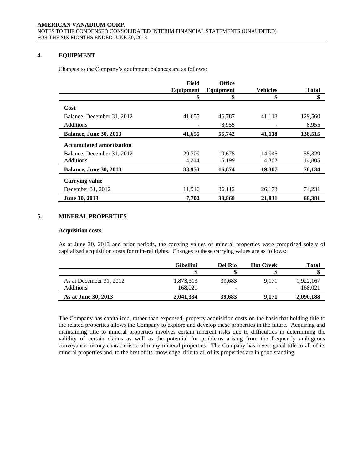# **4. EQUIPMENT**

Changes to the Company's equipment balances are as follows:

|                                 | Field     | <b>Office</b> |                 |              |
|---------------------------------|-----------|---------------|-----------------|--------------|
|                                 | Equipment | Equipment     | <b>Vehicles</b> | <b>Total</b> |
|                                 | \$        | \$            | \$              | \$           |
| Cost                            |           |               |                 |              |
| Balance, December 31, 2012      | 41,655    | 46,787        | 41,118          | 129,560      |
| <b>Additions</b>                |           | 8.955         |                 | 8.955        |
| <b>Balance, June 30, 2013</b>   | 41,655    | 55,742        | 41,118          | 138,515      |
| <b>Accumulated amortization</b> |           |               |                 |              |
| Balance, December 31, 2012      | 29,709    | 10.675        | 14,945          | 55,329       |
| Additions                       | 4,244     | 6,199         | 4,362           | 14,805       |
| <b>Balance, June 30, 2013</b>   | 33,953    | 16,874        | 19,307          | 70,134       |
| <b>Carrying value</b>           |           |               |                 |              |
| December 31, 2012               | 11,946    | 36,112        | 26,173          | 74,231       |
| June 30, 2013                   | 7.702     | 38,868        | 21,811          | 68,381       |

# **5. MINERAL PROPERTIES**

#### **Acquisition costs**

As at June 30, 2013 and prior periods, the carrying values of mineral properties were comprised solely of capitalized acquisition costs for mineral rights. Changes to these carrying values are as follows:

|                         | Gibellini | Del Rio                  | <b>Hot Creek</b> | Total     |
|-------------------------|-----------|--------------------------|------------------|-----------|
|                         |           |                          |                  |           |
| As at December 31, 2012 | 1,873,313 | 39.683                   | 9.171            | 1,922,167 |
| <b>Additions</b>        | 168.021   | $\overline{\phantom{a}}$ |                  | 168.021   |
| As at June 30, 2013     | 2.041.334 | 39,683                   | 9.171            | 2,090,188 |

The Company has capitalized, rather than expensed, property acquisition costs on the basis that holding title to the related properties allows the Company to explore and develop these properties in the future. Acquiring and maintaining title to mineral properties involves certain inherent risks due to difficulties in determining the validity of certain claims as well as the potential for problems arising from the frequently ambiguous conveyance history characteristic of many mineral properties. The Company has investigated title to all of its mineral properties and, to the best of its knowledge, title to all of its properties are in good standing.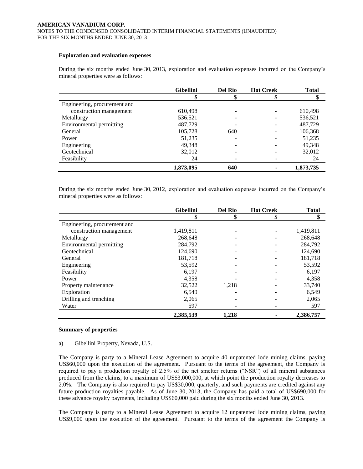#### **Exploration and evaluation expenses**

During the six months ended June 30, 2013, exploration and evaluation expenses incurred on the Company's mineral properties were as follows:

|                              | <b>Gibellini</b> | <b>Del Rio</b> | <b>Hot Creek</b> | <b>Total</b> |
|------------------------------|------------------|----------------|------------------|--------------|
|                              | D                | Φ              | D                | Φ            |
| Engineering, procurement and |                  |                |                  |              |
| construction management      | 610,498          |                |                  | 610,498      |
| Metallurgy                   | 536,521          |                |                  | 536,521      |
| Environmental permitting     | 487,729          |                |                  | 487,729      |
| General                      | 105,728          | 640            |                  | 106,368      |
| Power                        | 51,235           |                |                  | 51,235       |
| Engineering                  | 49,348           |                |                  | 49,348       |
| Geotechnical                 | 32,012           |                |                  | 32,012       |
| Feasibility                  | 24               |                |                  | 24           |
|                              | 1,873,095        | 640            |                  | 1,873,735    |

During the six months ended June 30, 2012, exploration and evaluation expenses incurred on the Company's mineral properties were as follows:

|                              | <b>Gibellini</b> | <b>Del Rio</b> | <b>Hot Creek</b> | <b>Total</b> |
|------------------------------|------------------|----------------|------------------|--------------|
|                              | \$               | \$             |                  | \$           |
| Engineering, procurement and |                  |                |                  |              |
| construction management      | 1,419,811        |                |                  | 1,419,811    |
| Metallurgy                   | 268,648          |                |                  | 268,648      |
| Environmental permitting     | 284,792          |                |                  | 284,792      |
| Geotechnical                 | 124,690          |                |                  | 124,690      |
| General                      | 181,718          |                |                  | 181,718      |
| Engineering                  | 53,592           |                |                  | 53,592       |
| Feasibility                  | 6.197            |                |                  | 6,197        |
| Power                        | 4,358            |                |                  | 4,358        |
| Property maintenance         | 32,522           | 1,218          |                  | 33,740       |
| Exploration                  | 6,549            |                |                  | 6,549        |
| Drilling and trenching       | 2,065            |                |                  | 2,065        |
| Water                        | 597              |                |                  | 597          |
|                              | 2,385,539        | 1,218          |                  | 2,386,757    |

#### **Summary of properties**

#### a) Gibellini Property, Nevada, U.S.

The Company is party to a Mineral Lease Agreement to acquire 40 unpatented lode mining claims, paying US\$60,000 upon the execution of the agreement. Pursuant to the terms of the agreement, the Company is required to pay a production royalty of 2.5% of the net smelter returns ("NSR") of all mineral substances produced from the claims, to a maximum of US\$3,000,000, at which point the production royalty decreases to 2.0%. The Company is also required to pay US\$30,000, quarterly, and such payments are credited against any future production royalties payable. As of June 30, 2013, the Company has paid a total of US\$690,000 for these advance royalty payments, including US\$60,000 paid during the six months ended June 30, 2013.

The Company is party to a Mineral Lease Agreement to acquire 12 unpatented lode mining claims, paying US\$9,000 upon the execution of the agreement. Pursuant to the terms of the agreement the Company is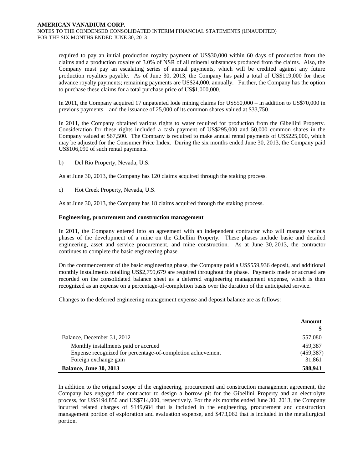required to pay an initial production royalty payment of US\$30,000 within 60 days of production from the claims and a production royalty of 3.0% of NSR of all mineral substances produced from the claims. Also, the Company must pay an escalating series of annual payments, which will be credited against any future production royalties payable. As of June 30, 2013, the Company has paid a total of US\$119,000 for these advance royalty payments; remaining payments are US\$24,000, annually. Further, the Company has the option to purchase these claims for a total purchase price of US\$1,000,000.

In 2011, the Company acquired 17 unpatented lode mining claims for US\$50,000 – in addition to US\$70,000 in previous payments – and the issuance of 25,000 of its common shares valued at \$33,750.

In 2011, the Company obtained various rights to water required for production from the Gibellini Property. Consideration for these rights included a cash payment of US\$295,000 and 50,000 common shares in the Company valued at \$67,500. The Company is required to make annual rental payments of US\$225,000, which may be adjusted for the Consumer Price Index. During the six months ended June 30, 2013, the Company paid US\$106,090 of such rental payments.

b) Del Rio Property, Nevada, U.S.

As at June 30, 2013, the Company has 120 claims acquired through the staking process.

c) Hot Creek Property, Nevada, U.S.

As at June 30, 2013, the Company has 18 claims acquired through the staking process.

# **Engineering, procurement and construction management**

In 2011, the Company entered into an agreement with an independent contractor who will manage various phases of the development of a mine on the Gibellini Property. These phases include basic and detailed engineering, asset and service procurement, and mine construction. As at June 30, 2013, the contractor continues to complete the basic engineering phase.

On the commencement of the basic engineering phase, the Company paid a US\$559,936 deposit, and additional monthly installments totalling US\$2,799,679 are required throughout the phase. Payments made or accrued are recorded on the consolidated balance sheet as a deferred engineering management expense, which is then recognized as an expense on a percentage-of-completion basis over the duration of the anticipated service.

Changes to the deferred engineering management expense and deposit balance are as follows:

|                                                             | Amount     |
|-------------------------------------------------------------|------------|
|                                                             |            |
| Balance, December 31, 2012                                  | 557,080    |
| Monthly installments paid or accrued                        | 459.387    |
| Expense recognized for percentage-of-completion achievement | (459, 387) |
| Foreign exchange gain                                       | 31,861     |
| <b>Balance, June 30, 2013</b>                               | 588,941    |

In addition to the original scope of the engineering, procurement and construction management agreement, the Company has engaged the contractor to design a borrow pit for the Gibellini Property and an electrolyte process, for US\$194,850 and US\$714,000, respectively. For the six months ended June 30, 2013, the Company incurred related charges of \$149,684 that is included in the engineering, procurement and construction management portion of exploration and evaluation expense, and \$473,062 that is included in the metallurgical portion.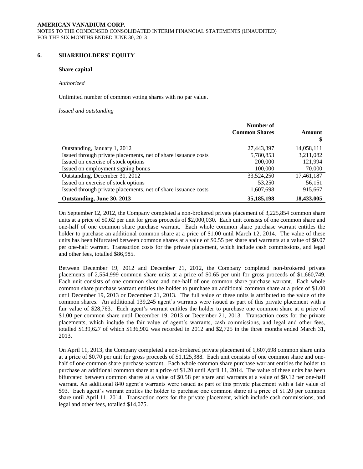# **6. SHAREHOLDERS' EQUITY**

#### **Share capital**

#### *Authorized*

Unlimited number of common voting shares with no par value.

*Issued and outstanding*

|                                                                | Number of            |            |
|----------------------------------------------------------------|----------------------|------------|
|                                                                | <b>Common Shares</b> | Amount     |
|                                                                |                      |            |
| Outstanding, January 1, 2012                                   | 27,443,397           | 14,058,111 |
| Issued through private placements, net of share issuance costs | 5,780,853            | 3,211,082  |
| Issued on exercise of stock options                            | 200,000              | 121,994    |
| Issued on employment signing bonus                             | 100,000              | 70,000     |
| Outstanding, December 31, 2012                                 | 33,524,250           | 17,461,187 |
| Issued on exercise of stock options                            | 53,250               | 56,151     |
| Issued through private placements, net of share issuance costs | 1,607,698            | 915,667    |
| Outstanding, June 30, 2013                                     | 35, 185, 198         | 18,433,005 |

On September 12, 2012, the Company completed a non-brokered private placement of 3,225,854 common share units at a price of \$0.62 per unit for gross proceeds of \$2,000,030. Each unit consists of one common share and one-half of one common share purchase warrant. Each whole common share purchase warrant entitles the holder to purchase an additional common share at a price of \$1.00 until March 12, 2014. The value of these units has been bifurcated between common shares at a value of \$0.55 per share and warrants at a value of \$0.07 per one-half warrant. Transaction costs for the private placement, which include cash commissions, and legal and other fees, totalled \$86,985.

Between December 19, 2012 and December 21, 2012, the Company completed non-brokered private placements of 2,554,999 common share units at a price of \$0.65 per unit for gross proceeds of \$1,660,749. Each unit consists of one common share and one-half of one common share purchase warrant. Each whole common share purchase warrant entitles the holder to purchase an additional common share at a price of \$1.00 until December 19, 2013 or December 21, 2013. The full value of these units is attributed to the value of the common shares. An additional 139,245 agent's warrants were issued as part of this private placement with a fair value of \$28,763. Each agent's warrant entitles the holder to purchase one common share at a price of \$1.00 per common share until December 19, 2013 or December 21, 2013. Transaction costs for the private placements, which include the fair value of agent's warrants, cash commissions, and legal and other fees, totalled \$139,627 of which \$136,902 was recorded in 2012 and \$2,725 in the three months ended March 31, 2013.

On April 11, 2013, the Company completed a non-brokered private placement of 1,607,698 common share units at a price of \$0.70 per unit for gross proceeds of \$1,125,388. Each unit consists of one common share and onehalf of one common share purchase warrant. Each whole common share purchase warrant entitles the holder to purchase an additional common share at a price of \$1.20 until April 11, 2014. The value of these units has been bifurcated between common shares at a value of \$0.58 per share and warrants at a value of \$0.12 per one-half warrant. An additional 840 agent's warrants were issued as part of this private placement with a fair value of \$93. Each agent's warrant entitles the holder to purchase one common share at a price of \$1.20 per common share until April 11, 2014. Transaction costs for the private placement, which include cash commissions, and legal and other fees, totalled \$14,075.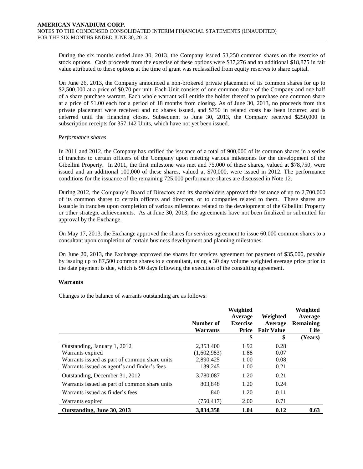During the six months ended June 30, 2013, the Company issued 53,250 common shares on the exercise of stock options. Cash proceeds from the exercise of these options were \$37,276 and an additional \$18,875 in fair value attributed to these options at the time of grant was reclassified from equity reserves to share capital.

On June 26, 2013, the Company announced a non-brokered private placement of its common shares for up to \$2,500,000 at a price of \$0.70 per unit. Each Unit consists of one common share of the Company and one half of a share purchase warrant. Each whole warrant will entitle the holder thereof to purchase one common share at a price of \$1.00 each for a period of 18 months from closing. As of June 30, 2013, no proceeds from this private placement were received and no shares issued, and \$750 in related costs has been incurred and is deferred until the financing closes. Subsequent to June 30, 2013, the Company received \$250,000 in subscription receipts for 357,142 Units, which have not yet been issued.

# *Performance shares*

In 2011 and 2012, the Company has ratified the issuance of a total of 900,000 of its common shares in a series of tranches to certain officers of the Company upon meeting various milestones for the development of the Gibellini Property. In 2011, the first milestone was met and 75,000 of these shares, valued at \$78,750, were issued and an additional 100,000 of these shares, valued at \$70,000, were issued in 2012. The performance conditions for the issuance of the remaining 725,000 performance shares are discussed in Note 12.

During 2012, the Company's Board of Directors and its shareholders approved the issuance of up to 2,700,000 of its common shares to certain officers and directors, or to companies related to them. These shares are issuable in tranches upon completion of various milestones related to the development of the Gibellini Property or other strategic achievements. As at June 30, 2013, the agreements have not been finalized or submitted for approval by the Exchange.

On May 17, 2013, the Exchange approved the shares for services agreement to issue 60,000 common shares to a consultant upon completion of certain business development and planning milestones.

On June 20, 2013, the Exchange approved the shares for services agreement for payment of \$35,000, payable by issuing up to 87,500 common shares to a consultant, using a 30 day volume weighted average price prior to the date payment is due, which is 90 days following the execution of the consulting agreement.

# **Warrants**

Changes to the balance of warrants outstanding are as follows:

|                                               | Number of<br><b>Warrants</b> | Weighted<br>Average<br><b>Exercise</b><br><b>Price</b> | Weighted<br>Average<br><b>Fair Value</b> | Weighted<br>Average<br><b>Remaining</b><br>Life |
|-----------------------------------------------|------------------------------|--------------------------------------------------------|------------------------------------------|-------------------------------------------------|
|                                               |                              | \$                                                     | \$                                       | (Years)                                         |
| Outstanding, January 1, 2012                  | 2,353,400                    | 1.92                                                   | 0.28                                     |                                                 |
| Warrants expired                              | (1,602,983)                  | 1.88                                                   | 0.07                                     |                                                 |
| Warrants issued as part of common share units | 2,890,425                    | 1.00                                                   | 0.08                                     |                                                 |
| Warrants issued as agent's and finder's fees  | 139,245                      | 1.00                                                   | 0.21                                     |                                                 |
| Outstanding, December 31, 2012                | 3,780,087                    | 1.20                                                   | 0.21                                     |                                                 |
| Warrants issued as part of common share units | 803,848                      | 1.20                                                   | 0.24                                     |                                                 |
| Warrants issued as finder's fees              | 840                          | 1.20                                                   | 0.11                                     |                                                 |
| Warrants expired                              | (750, 417)                   | 2.00                                                   | 0.71                                     |                                                 |
| Outstanding, June 30, 2013                    | 3,834,358                    | 1.04                                                   | 0.12                                     | 0.63                                            |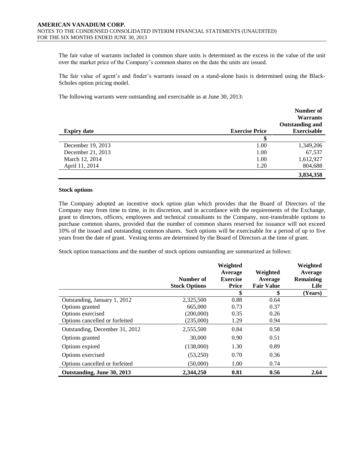The fair value of warrants included in common share units is determined as the excess in the value of the unit over the market price of the Company's common shares on the date the units are issued.

The fair value of agent's and finder's warrants issued on a stand-alone basis is determined using the Black-Scholes option pricing model.

The following warrants were outstanding and exercisable as at June 30, 2013:

|                    |                       | Number of<br><b>Warrants</b><br><b>Outstanding and</b> |
|--------------------|-----------------------|--------------------------------------------------------|
| <b>Expiry date</b> | <b>Exercise Price</b> | <b>Exercisable</b>                                     |
|                    |                       |                                                        |
| December 19, 2013  | 1.00                  | 1,349,206                                              |
| December 21, 2013  | 1.00                  | 67,537                                                 |
| March 12, 2014     | 1.00                  | 1,612,927                                              |
| April 11, 2014     | 1.20                  | 804,688                                                |
|                    |                       | 3,834,358                                              |

#### **Stock options**

The Company adopted an incentive stock option plan which provides that the Board of Directors of the Company may from time to time, in its discretion, and in accordance with the requirements of the Exchange, grant to directors, officers, employees and technical consultants to the Company, non-transferable options to purchase common shares, provided that the number of common shares reserved for issuance will not exceed 10% of the issued and outstanding common shares. Such options will be exercisable for a period of up to five years from the date of grant. Vesting terms are determined by the Board of Directors at the time of grant.

Stock option transactions and the number of stock options outstanding are summarized as follows:

|                                | Number of<br><b>Stock Options</b> | Weighted<br>Average<br><b>Exercise</b><br>Price | Weighted<br>Average<br><b>Fair Value</b> | Weighted<br>Average<br><b>Remaining</b><br>Life |
|--------------------------------|-----------------------------------|-------------------------------------------------|------------------------------------------|-------------------------------------------------|
|                                |                                   | \$                                              | \$                                       | (Years)                                         |
| Outstanding, January 1, 2012   | 2,325,500                         | 0.88                                            | 0.64                                     |                                                 |
| Options granted                | 665,000                           | 0.73                                            | 0.37                                     |                                                 |
| Options exercised              | (200,000)                         | 0.35                                            | 0.26                                     |                                                 |
| Options cancelled or forfeited | (235,000)                         | 1.29                                            | 0.94                                     |                                                 |
| Outstanding, December 31, 2012 | 2,555,500                         | 0.84                                            | 0.58                                     |                                                 |
| Options granted                | 30,000                            | 0.90                                            | 0.51                                     |                                                 |
| Options expired                | (138,000)                         | 1.30                                            | 0.89                                     |                                                 |
| Options exercised              | (53,250)                          | 0.70                                            | 0.36                                     |                                                 |
| Options cancelled or forfeited | (50,000)                          | 1.00                                            | 0.74                                     |                                                 |
| Outstanding, June 30, 2013     | 2.344,250                         | 0.81                                            | 0.56                                     | 2.64                                            |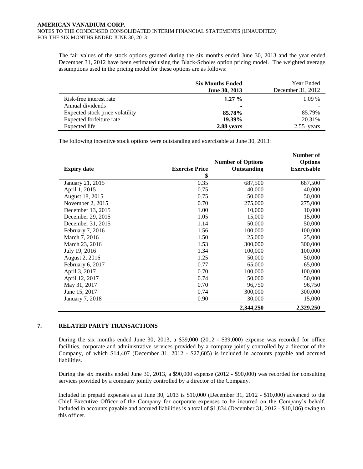The fair values of the stock options granted during the six months ended June 30, 2013 and the year ended December 31, 2012 have been estimated using the Black-Scholes option pricing model. The weighted average assumptions used in the pricing model for these options are as follows:

|                                 | <b>Six Months Ended</b><br>June 30, 2013 | Year Ended<br>December 31, 2012 |
|---------------------------------|------------------------------------------|---------------------------------|
| Risk-free interest rate         | $1.27\%$                                 | $1.09\%$                        |
| Annual dividends                |                                          |                                 |
| Expected stock price volatility | 85.78%                                   | 85.79%                          |
| Expected forfeiture rate        | 19.39%                                   | 20.31%                          |
| Expected life                   | 2.88 years                               | vears                           |

The following incentive stock options were outstanding and exercisable at June 30, 2013:

|                    |                       |                          | Number of          |
|--------------------|-----------------------|--------------------------|--------------------|
|                    |                       | <b>Number of Options</b> | <b>Options</b>     |
| <b>Expiry date</b> | <b>Exercise Price</b> | Outstanding              | <b>Exercisable</b> |
|                    | \$                    |                          |                    |
| January 21, 2015   | 0.35                  | 687,500                  | 687,500            |
| April 1, 2015      | 0.75                  | 40,000                   | 40,000             |
| August 18, 2015    | 0.75                  | 50,000                   | 50,000             |
| November 2, 2015   | 0.70                  | 275,000                  | 275,000            |
| December 13, 2015  | 1.00                  | 10,000                   | 10,000             |
| December 29, 2015  | 1.05                  | 15,000                   | 15,000             |
| December 31, 2015  | 1.14                  | 50,000                   | 50,000             |
| February 7, 2016   | 1.56                  | 100,000                  | 100,000            |
| March 7, 2016      | 1.50                  | 25,000                   | 25,000             |
| March 23, 2016     | 1.53                  | 300,000                  | 300,000            |
| July 19, 2016      | 1.34                  | 100,000                  | 100,000            |
| August 2, 2016     | 1.25                  | 50,000                   | 50,000             |
| February 6, 2017   | 0.77                  | 65,000                   | 65,000             |
| April 3, 2017      | 0.70                  | 100,000                  | 100,000            |
| April 12, 2017     | 0.74                  | 50,000                   | 50,000             |
| May 31, 2017       | 0.70                  | 96,750                   | 96,750             |
| June 15, 2017      | 0.74                  | 300,000                  | 300,000            |
| January 7, 2018    | 0.90                  | 30,000                   | 15,000             |
|                    |                       | 2,344,250                | 2,329,250          |

# **7. RELATED PARTY TRANSACTIONS**

During the six months ended June 30, 2013, a \$39,000 (2012 - \$39,000) expense was recorded for office facilities, corporate and administrative services provided by a company jointly controlled by a director of the Company, of which \$14,407 (December 31, 2012 - \$27,605) is included in accounts payable and accrued liabilities.

During the six months ended June 30, 2013, a \$90,000 expense (2012 - \$90,000) was recorded for consulting services provided by a company jointly controlled by a director of the Company.

Included in prepaid expenses as at June 30, 2013 is \$10,000 (December 31, 2012 - \$10,000) advanced to the Chief Executive Officer of the Company for corporate expenses to be incurred on the Company's behalf. Included in accounts payable and accrued liabilities is a total of \$1,834 (December 31, 2012 - \$10,186) owing to this officer.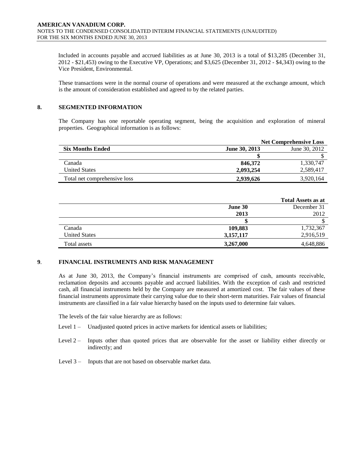Included in accounts payable and accrued liabilities as at June 30, 2013 is a total of \$13,285 (December 31, 2012 - \$21,453) owing to the Executive VP, Operations; and \$3,625 (December 31, 2012 - \$4,343) owing to the Vice President, Environmental.

These transactions were in the normal course of operations and were measured at the exchange amount, which is the amount of consideration established and agreed to by the related parties.

# **8. SEGMENTED INFORMATION**

The Company has one reportable operating segment, being the acquisition and exploration of mineral properties. Geographical information is as follows:

|                              |               | <b>Net Comprehensive Loss</b> |
|------------------------------|---------------|-------------------------------|
| <b>Six Months Ended</b>      | June 30, 2013 | June 30, 2012                 |
|                              |               |                               |
| Canada                       | 846,372       | 1,330,747                     |
| <b>United States</b>         | 2,093,254     | 2,589,417                     |
| Total net comprehensive loss | 2,939,626     | 3,920,164                     |

|                      |           | <b>Total Assets as at</b> |
|----------------------|-----------|---------------------------|
|                      | June 30   | December 31               |
|                      | 2013      | 2012                      |
|                      |           |                           |
| Canada               | 109,883   | 1,732,367                 |
| <b>United States</b> | 3,157,117 | 2,916,519                 |
| Total assets         | 3,267,000 | 4,648,886                 |

# **9**. **FINANCIAL INSTRUMENTS AND RISK MANAGEMENT**

As at June 30, 2013, the Company's financial instruments are comprised of cash, amounts receivable, reclamation deposits and accounts payable and accrued liabilities. With the exception of cash and restricted cash, all financial instruments held by the Company are measured at amortized cost. The fair values of these financial instruments approximate their carrying value due to their short-term maturities. Fair values of financial instruments are classified in a fair value hierarchy based on the inputs used to determine fair values.

The levels of the fair value hierarchy are as follows:

- Level 1 Unadjusted quoted prices in active markets for identical assets or liabilities;
- Level 2 Inputs other than quoted prices that are observable for the asset or liability either directly or indirectly; and
- Level 3 Inputs that are not based on observable market data.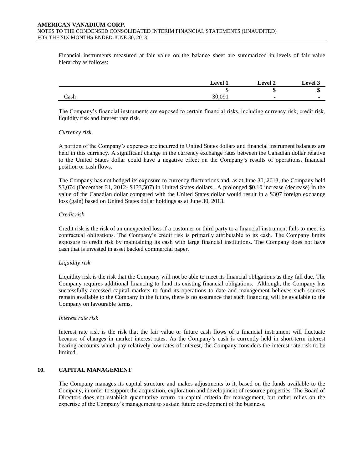Financial instruments measured at fair value on the balance sheet are summarized in levels of fair value hierarchy as follows:

|      | <b>Level 1</b> | <b>Level 2</b> | <b>Level 3</b> |
|------|----------------|----------------|----------------|
|      | ٠D             | ۰U             | ٠D             |
| Cash | 30,091         |                |                |

The Company's financial instruments are exposed to certain financial risks, including currency risk, credit risk, liquidity risk and interest rate risk.

#### *Currency risk*

A portion of the Company's expenses are incurred in United States dollars and financial instrument balances are held in this currency. A significant change in the currency exchange rates between the Canadian dollar relative to the United States dollar could have a negative effect on the Company's results of operations, financial position or cash flows.

The Company has not hedged its exposure to currency fluctuations and, as at June 30, 2013, the Company held \$3,074 (December 31, 2012- \$133,507) in United States dollars. A prolonged \$0.10 increase (decrease) in the value of the Canadian dollar compared with the United States dollar would result in a \$307 foreign exchange loss (gain) based on United States dollar holdings as at June 30, 2013.

# *Credit risk*

Credit risk is the risk of an unexpected loss if a customer or third party to a financial instrument fails to meet its contractual obligations. The Company's credit risk is primarily attributable to its cash. The Company limits exposure to credit risk by maintaining its cash with large financial institutions. The Company does not have cash that is invested in asset backed commercial paper.

# *Liquidity risk*

Liquidity risk is the risk that the Company will not be able to meet its financial obligations as they fall due. The Company requires additional financing to fund its existing financial obligations. Although, the Company has successfully accessed capital markets to fund its operations to date and management believes such sources remain available to the Company in the future, there is no assurance that such financing will be available to the Company on favourable terms.

#### *Interest rate risk*

Interest rate risk is the risk that the fair value or future cash flows of a financial instrument will fluctuate because of changes in market interest rates. As the Company's cash is currently held in short-term interest bearing accounts which pay relatively low rates of interest, the Company considers the interest rate risk to be limited.

# **10. CAPITAL MANAGEMENT**

The Company manages its capital structure and makes adjustments to it, based on the funds available to the Company, in order to support the acquisition, exploration and development of resource properties. The Board of Directors does not establish quantitative return on capital criteria for management, but rather relies on the expertise of the Company's management to sustain future development of the business.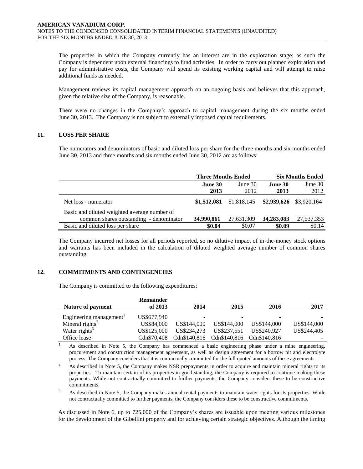The properties in which the Company currently has an interest are in the exploration stage; as such the Company is dependent upon external financings to fund activities. In order to carry out planned exploration and pay for administrative costs, the Company will spend its existing working capital and will attempt to raise additional funds as needed.

Management reviews its capital management approach on an ongoing basis and believes that this approach, given the relative size of the Company, is reasonable.

There were no changes in the Company's approach to capital management during the six months ended June 30, 2013. The Company is not subject to externally imposed capital requirements.

# **11. LOSS PER SHARE**

The numerators and denominators of basic and diluted loss per share for the three months and six months ended June 30, 2013 and three months and six months ended June 30, 2012 are as follows:

|                                              | <b>Three Months Ended</b> |             | <b>Six Months Ended</b> |            |
|----------------------------------------------|---------------------------|-------------|-------------------------|------------|
|                                              | June 30                   | June $30$   | June 30                 | June 30    |
|                                              | 2013                      | 2012        | 2013                    | 2012       |
| Net loss - numerator                         | \$1,512,081               | \$1,818,145 | \$2,939,626 \$3,920,164 |            |
| Basic and diluted weighted average number of |                           |             |                         |            |
| common shares outstanding - denominator      | 34,990,861                | 27,631,309  | 34,283,083              | 27,537,353 |
| Basic and diluted loss per share             | \$0.04                    | \$0.07      | \$0.09                  | \$0.14     |

The Company incurred net losses for all periods reported, so no dilutive impact of in-the-money stock options and warrants has been included in the calculation of diluted weighted average number of common shares outstanding.

# **12. COMMITMENTS AND CONTINGENCIES**

The Company is committed to the following expenditures:

|                                     | <b>Remainder</b> |              |              |                              |             |
|-------------------------------------|------------------|--------------|--------------|------------------------------|-------------|
| Nature of payment                   | of 2013          | 2014         | 2015         | 2016                         | 2017        |
| Engineering management <sup>1</sup> | US\$677,940      | -            |              | $\qquad \qquad \blacksquare$ |             |
| Mineral rights <sup>2</sup>         | US\$84,000       | US\$144,000  | US\$144,000  | US\$144,000                  | US\$144,000 |
| Water rights <sup>3</sup>           | US\$125,000      | US\$234,273  | US\$237.551  | US\$240.927                  | US\$244,405 |
| Office lease                        | Cdn\$70.408      | Cdn\$140,816 | Cdn\$140,816 | Cdn\$140.816                 |             |

<sup>1.</sup> As described in Note 5, the Company has commenced a basic engineering phase under a mine engineering, procurement and construction management agreement, as well as design agreement for a borrow pit and electrolyte process. The Company considers that it is contractually committed for the full quoted amounts of these agreements.

<sup>2.</sup> As described in Note 5, the Company makes NSR prepayments in order to acquire and maintain mineral rights to its properties. To maintain certain of its properties in good standing, the Company is required to continue making these payments. While not contractually committed to further payments, the Company considers these to be constructive commitments.

<sup>3.</sup> As described in Note 5, the Company makes annual rental payments to maintain water rights for its properties. While not contractually committed to further payments, the Company considers these to be constructive commitments.

As discussed in Note 6, up to 725,000 of the Company's shares are issuable upon meeting various milestones for the development of the Gibellini property and for achieving certain strategic objectives. Although the timing